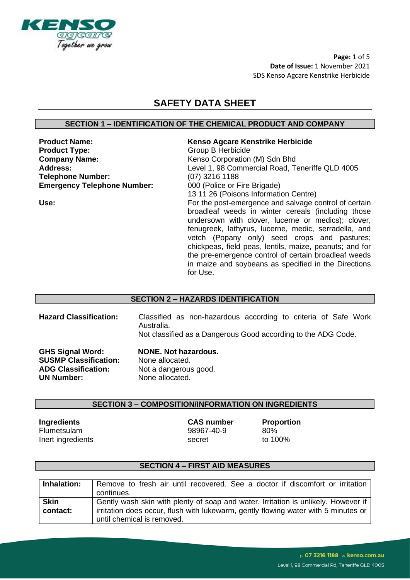

**Page:** 1 of 5 **Date of Issue:** 1 November 2021 SDS Kenso Agcare Kenstrike Herbicide

# **SAFETY DATA SHEET**

# **SECTION 1 – IDENTIFICATION OF THE CHEMICAL PRODUCT AND COMPANY**

**Product Type:** Group B Herbicide **Company Name:** Kenso Corporation (M) Sdn Bhd **Telephone Number:** (07) 3216 1188 **Emergency Telephone Number:** 000 (Police or Fire Brigade)

# **Product Name: Kenso Agcare Kenstrike Herbicide**

**Address:** Level 1, 98 Commercial Road, Teneriffe QLD 4005 13 11 26 (Poisons Information Centre) **Use:** For the post-emergence and salvage control of certain broadleaf weeds in winter cereals (including those undersown with clover, lucerne or medics); clover, fenugreek, lathyrus, lucerne, medic, serradella, and vetch (Popany only) seed crops and pastures; chickpeas, field peas, lentils, maize, peanuts; and for the pre-emergence control of certain broadleaf weeds in maize and soybeans as specified in the Directions for Use.

# **SECTION 2 – HAZARDS IDENTIFICATION**

| <b>Hazard Classification:</b> | Classified as non-hazardous according to criteria of Safe Work<br>Australia.<br>Not classified as a Dangerous Good according to the ADG Code. |
|-------------------------------|-----------------------------------------------------------------------------------------------------------------------------------------------|
| <b>GHS Signal Word:</b>       | <b>NONE. Not hazardous.</b>                                                                                                                   |
| <b>SUSMP Classification:</b>  | None allocated.                                                                                                                               |
| <b>ADG Classification:</b>    | Not a dangerous good.                                                                                                                         |
| <b>UN Number:</b>             | None allocated.                                                                                                                               |

#### **SECTION 3 – COMPOSITION/INFORMATION ON INGREDIENTS**

**Ingredients CAS number Proportion** Flumetsulam 98967-40-9 80% Inert ingredients and the secret to 100%

# **SECTION 4 – FIRST AID MEASURES**

| Inhalation: | Remove to fresh air until recovered. See a doctor if discomfort or irritation      |
|-------------|------------------------------------------------------------------------------------|
|             | continues.                                                                         |
| <b>Skin</b> | Gently wash skin with plenty of soap and water. Irritation is unlikely. However if |
| contact:    | irritation does occur, flush with lukewarm, gently flowing water with 5 minutes or |
|             | until chemical is removed.                                                         |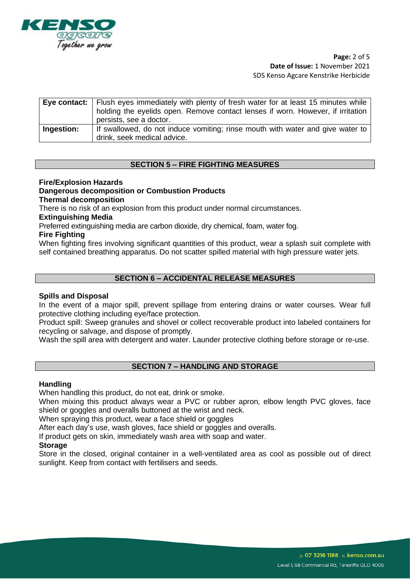

# **Page:** 2 of 5 **Date of Issue:** 1 November 2021 SDS Kenso Agcare Kenstrike Herbicide

|            | Eye contact:   Flush eyes immediately with plenty of fresh water for at least 15 minutes while  <br>holding the eyelids open. Remove contact lenses if worn. However, if irritation<br>persists, see a doctor. |
|------------|----------------------------------------------------------------------------------------------------------------------------------------------------------------------------------------------------------------|
| Ingestion: | If swallowed, do not induce vomiting; rinse mouth with water and give water to<br>drink, seek medical advice.                                                                                                  |

# **SECTION 5 – FIRE FIGHTING MEASURES**

# **Fire/Explosion Hazards**

### **Dangerous decomposition or Combustion Products**

**Thermal decomposition**

There is no risk of an explosion from this product under normal circumstances.

#### **Extinguishing Media**

Preferred extinguishing media are carbon dioxide, dry chemical, foam, water fog.

#### **Fire Fighting**

When fighting fires involving significant quantities of this product, wear a splash suit complete with self contained breathing apparatus. Do not scatter spilled material with high pressure water jets.

# **SECTION 6 – ACCIDENTAL RELEASE MEASURES**

#### **Spills and Disposal**

In the event of a major spill, prevent spillage from entering drains or water courses. Wear full protective clothing including eye/face protection.

Product spill: Sweep granules and shovel or collect recoverable product into labeled containers for recycling or salvage, and dispose of promptly.

Wash the spill area with detergent and water. Launder protective clothing before storage or re-use.

# **SECTION 7 – HANDLING AND STORAGE**

#### **Handling**

When handling this product, do not eat, drink or smoke.

When mixing this product always wear a PVC or rubber apron, elbow length PVC gloves, face shield or goggles and overalls buttoned at the wrist and neck.

When spraying this product, wear a face shield or goggles

After each day's use, wash gloves, face shield or goggles and overalls.

If product gets on skin, immediately wash area with soap and water.

#### **Storage**

Store in the closed, original container in a well-ventilated area as cool as possible out of direct sunlight. Keep from contact with fertilisers and seeds.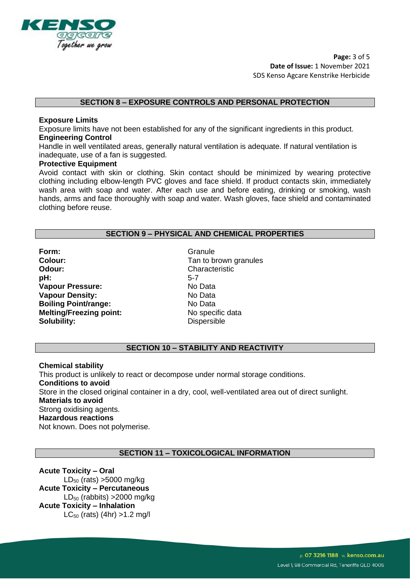

**Page:** 3 of 5 **Date of Issue:** 1 November 2021 SDS Kenso Agcare Kenstrike Herbicide

### **SECTION 8 – EXPOSURE CONTROLS AND PERSONAL PROTECTION**

#### **Exposure Limits**

Exposure limits have not been established for any of the significant ingredients in this product. **Engineering Control**

Handle in well ventilated areas, generally natural ventilation is adequate. If natural ventilation is inadequate, use of a fan is suggested.

#### **Protective Equipment**

Avoid contact with skin or clothing. Skin contact should be minimized by wearing protective clothing including elbow-length PVC gloves and face shield. If product contacts skin, immediately wash area with soap and water. After each use and before eating, drinking or smoking, wash hands, arms and face thoroughly with soap and water. Wash gloves, face shield and contaminated clothing before reuse.

#### **SECTION 9 – PHYSICAL AND CHEMICAL PROPERTIES**

**Form:** Granule Colour: Colour: Colour: Colour: Tan to b **Odour:** Characteristic **pH:** 5-7 **Vapour Pressure:** No Data **Vapour Density:** No Data **Boiling Point/range:** No Data **Melting/Freezing point:** No specific data **Solubility:** Dispersible

Tan to brown granules

#### **SECTION 10 – STABILITY AND REACTIVITY**

**Chemical stability** This product is unlikely to react or decompose under normal storage conditions. **Conditions to avoid** Store in the closed original container in a dry, cool, well-ventilated area out of direct sunlight. **Materials to avoid** Strong oxidising agents. **Hazardous reactions** Not known. Does not polymerise.

# **SECTION 11 – TOXICOLOGICAL INFORMATION**

**Acute Toxicity – Oral**   $LD_{50}$  (rats) >5000 mg/kg **Acute Toxicity – Percutaneous**   $LD_{50}$  (rabbits) > 2000 mg/kg **Acute Toxicity – Inhalation**   $LC_{50}$  (rats) (4hr) > 1.2 mg/l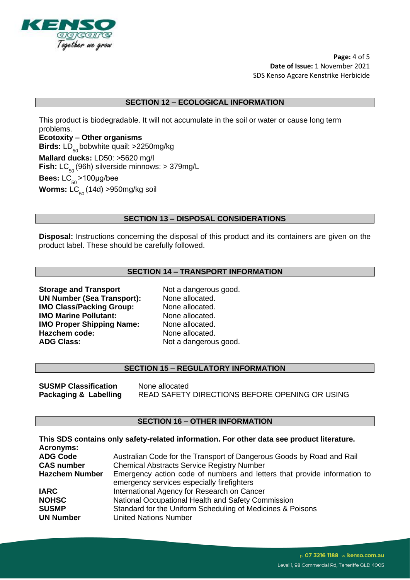

**Page:** 4 of 5 **Date of Issue:** 1 November 2021 SDS Kenso Agcare Kenstrike Herbicide

### **SECTION 12 – ECOLOGICAL INFORMATION**

This product is biodegradable. It will not accumulate in the soil or water or cause long term problems.

**Ecotoxity – Other organisms Birds:** LD 50 bobwhite quail: >2250mg/kg **Mallard ducks:** LD50: >5620 mg/l **Fish:** LC<sub>50</sub> (96h) silverside minnows: > 379mg/L

**Bees:** LC<sub>50</sub>>100μg/bee

**Worms:** LC<sub>50</sub> (14d) >950mg/kg soil

# **SECTION 13 – DISPOSAL CONSIDERATIONS**

**Disposal:** Instructions concerning the disposal of this product and its containers are given on the product label. These should be carefully followed.

# **SECTION 14 – TRANSPORT INFORMATION**

**Storage and Transport** Not a dangerous good. **UN Number (Sea Transport):** None allocated. **IMO Class/Packing Group:** None allocated. **IMO Marine Pollutant:** None allocated. **IMO Proper Shipping Name:** None allocated. Hazchem code: None allocated. ADG Class: Not a dangerous good.

# **SECTION 15 – REGULATORY INFORMATION**

**SUSMP Classification** None allocated **Packaging & Labelling** READ SAFETY DIRECTIONS BEFORE OPENING OR USING

#### **SECTION 16 – OTHER INFORMATION**

|                       | This SDS contains only safety-related information. For other data see product literature. |
|-----------------------|-------------------------------------------------------------------------------------------|
| <b>Acronyms:</b>      |                                                                                           |
| <b>ADG Code</b>       | Australian Code for the Transport of Dangerous Goods by Road and Rail                     |
| <b>CAS number</b>     | <b>Chemical Abstracts Service Registry Number</b>                                         |
| <b>Hazchem Number</b> | Emergency action code of numbers and letters that provide information to                  |
|                       | emergency services especially firefighters                                                |
| <b>IARC</b>           | International Agency for Research on Cancer                                               |
| <b>NOHSC</b>          | National Occupational Health and Safety Commission                                        |
| <b>SUSMP</b>          | Standard for the Uniform Scheduling of Medicines & Poisons                                |
| <b>UN Number</b>      | <b>United Nations Number</b>                                                              |